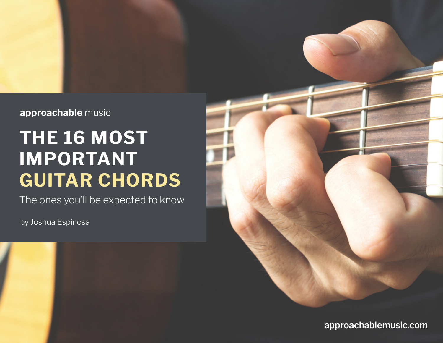#### approachable music

### **THE 16 MOST IMPORTANT GUITAR CHORDS**

The ones you'll be expected to know

by Joshua Espinosa



**[approachablemusic.com](http://www.approachablemusic.com)**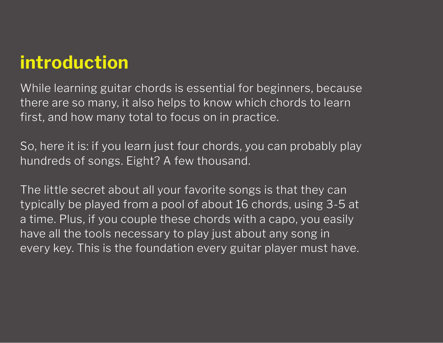### **introduction**

While learning guitar chords is essential for beginners, because there are so many, it also helps to know which chords to learn first, and how many total to focus on in practice.

So, here it is: if you learn just four chords, you can probably play hundreds of songs. Eight? A few thousand.

The little secret about all your favorite songs is that they can typically be played from a pool of about 16 chords, using 3-5 at a time. Plus, if you couple these chords with a capo, you easily have all the tools necessary to play just about any song in every key. This is the foundation every guitar player must have.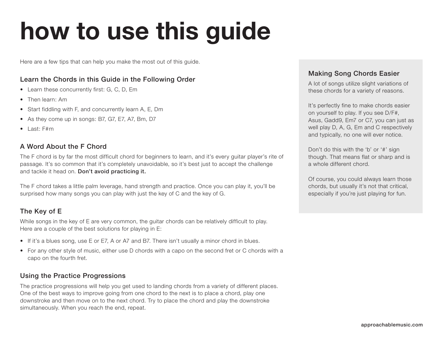# **how to use this guide**

Here are a few tips that can help you make the most out of this guide.

#### Learn the Chords in this Guide in the Following Order

- Learn these concurrently first: G, C, D, Em
- Then learn: Am
- Start fiddling with F, and concurrently learn A, E, Dm
- As they come up in songs: B7, G7, E7, A7, Bm, D7
- Last: F#m

#### A Word About the F Chord

The F chord is by far the most difficult chord for beginners to learn, and it's every guitar player's rite of passage. It's so common that it's completely unavoidable, so it's best just to accept the challenge and tackle it head on. Don't avoid practicing it.

The F chord takes a little palm leverage, hand strength and practice. Once you can play it, you'll be surprised how many songs you can play with just the key of C and the key of G.

#### The Key of E

While songs in the key of E are very common, the guitar chords can be relatively difficult to play. Here are a couple of the best solutions for playing in E:

- If it's a blues song, use E or E7, A or A7 and B7. There isn't usually a minor chord in blues.
- For any other style of music, either use D chords with a capo on the second fret or C chords with a capo on the fourth fret.

#### Using the Practice Progressions

The practice progressions will help you get used to landing chords from a variety of different places. One of the best ways to improve going from one chord to the next is to place a chord, play one downstroke and then move on to the next chord. Try to place the chord and play the downstroke simultaneously. When you reach the end, repeat.

#### Making Song Chords Easier

A lot of songs utilize slight variations of these chords for a variety of reasons.

It's perfectly fine to make chords easier on yourself to play. If you see D/F#, Asus, Gadd9, Em7 or C7, you can just as well play D, A, G, Em and C respectively and typically, no one will ever notice.

Don't do this with the 'b' or '#' sign though. That means flat or sharp and is a whole different chord.

Of course, you could always learn those chords, but usually it's not that critical, especially if you're just playing for fun.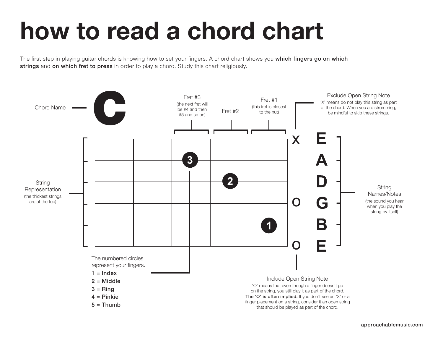### **how to read a chord chart**

The first step in playing guitar chords is knowing how to set your fingers. A chord chart shows you which fingers go on which strings and on which fret to press in order to play a chord. Study this chart religiously.

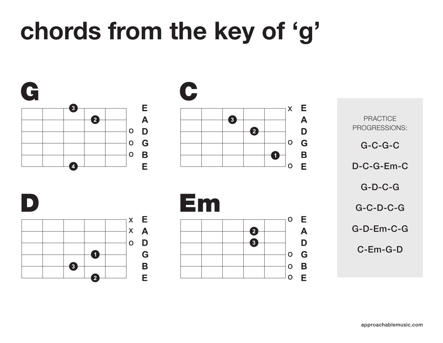## **chords from the key of 'g'**

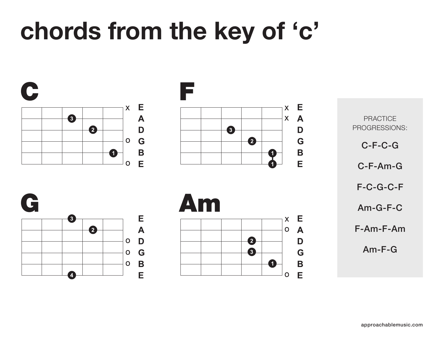## **chords from the key of 'c'**

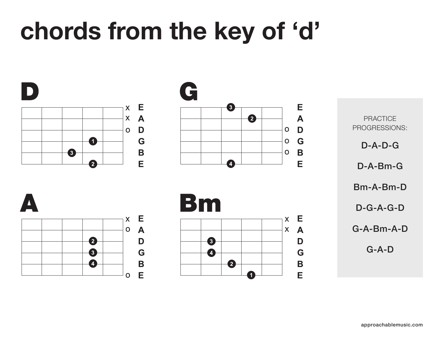## **chords from the key of 'd'**

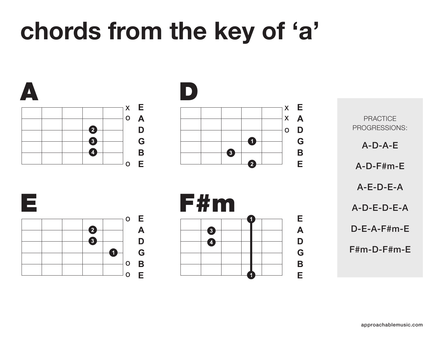## **chords from the key of 'a'**

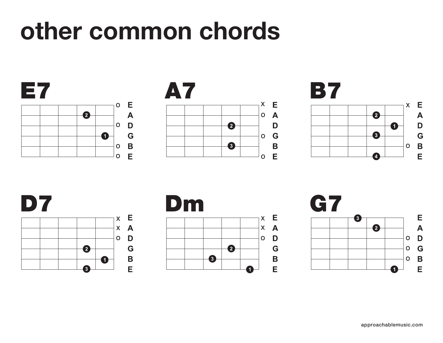### **other common chords**









E  $\mathsf{X}$ 

 $\overline{\mathsf{A}}$ 

D

G

 $\mathbf B$ 

E

 $\mathbf O$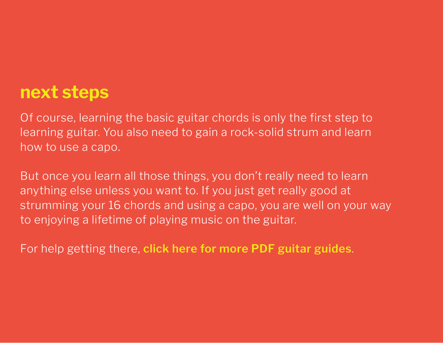### **next steps**

Of course, learning the basic guitar chords is only the first step to learning guitar. You also need to gain a rock-solid strum and learn how to use a capo.

But once you learn all those things, you don't really need to learn anything else unless you want to. If you just get really good at strumming your 16 chords and using a capo, you are well on your way to enjoying a lifetime of playing music on the guitar.

For help getting there, **[click here for more PDF guitar guides](http://www.approachablemusic.com/pdf-guides.php)**.